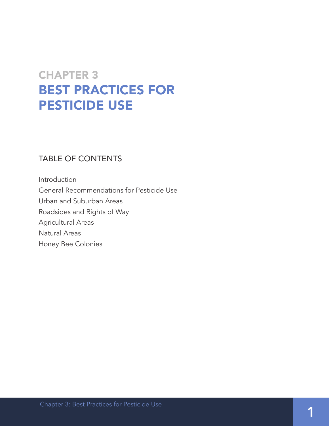### CHAPTER 3 BEST PRACTICES FOR PESTICIDE USE

### TABLE OF CONTENTS

Introduction General Recommendations for Pesticide Use Urban and Suburban Areas Roadsides and Rights of Way Agricultural Areas Natural Areas Honey Bee Colonies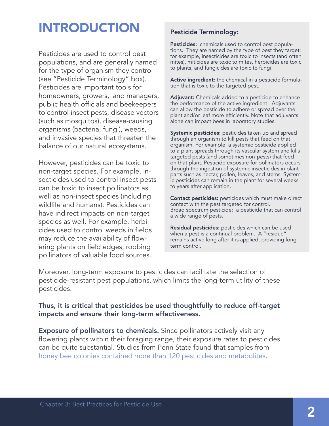### INTRODUCTION

Pesticides are used to control pest populations, and are generally named for the type of organism they control (see "Pesticide Terminology" box). Pesticides are important tools for homeowners, growers, land managers, public health officials and beekeepers to control insect pests, disease vectors (such as mosquitos), disease-causing organisms (bacteria, fungi), weeds, and invasive species that threaten the balance of our natural ecosystems.

However, pesticides can be toxic to non-target species. For example, insecticides used to control insect pests can be toxic to insect pollinators as well as non-insect species (including wildlife and humans). Pesticides can have indirect impacts on non-target species as well. For example, herbicides used to control weeds in fields may reduce the availability of flowering plants on field edges, robbing pollinators of valuable food sources.

#### Pesticide Terminology:

Pesticides: chemicals used to control pest populations. They are named by the type of pest they target: for example, insecticides are toxic to insects (and often mites), miticides are toxic to mites, herbicides are toxic to plants, and fungicides are toxic to fungi.

Active ingredient: the chemical in a pesticide formulation that is toxic to the targeted pest.

Adjuvant: Chemicals added to a pesticide to enhance the performance of the active ingredient. Adjuvants can allow the pesticide to adhere or spread over the plant and/or leaf more efficiently. Note that adjuvants alone can impact bees in laboratory studies.

Systemic pesticides: pesticides taken up and spread through an organism to kill pests that feed on that organism. For example, a systemic pesticide applied to a plant spreads through its vascular system and kills targeted pests (and sometimes non-pests) that feed on that plant. Pesticide exposure for pollinators occurs through the ingestion of systemic insecticides in plant parts such as nectar, pollen, leaves, and stems. Systemic pesticides can remain in the plant for several weeks to years after application.

Contact pesticides: pesticides which must make direct contact with the pest targeted for control. Broad spectrum pesticide: a pesticide that can control a wide range of pests.

Residual pesticides: pesticides which can be used when a pest is a continual problem. A "residue" remains active long after it is applied, providing longterm control.

Moreover, long-term exposure to pesticides can facilitate the selection of pesticide-resistant pest populations, which limits the long-term utility of these pesticides.

#### Thus, it is critical that pesticides be used thoughtfully to reduce off-target impacts and ensure their long-term effectiveness.

**Exposure of pollinators to chemicals.** Since pollinators actively visit any flowering plants within their foraging range, their exposure rates to pesticides can be quite substantial. Studies from Penn State found that samples from [honey bee colonies contained more than 120 pesticides and metabolites](http://journals.plos.org/plosone/article?id=10.1371/journal.pone.0009754).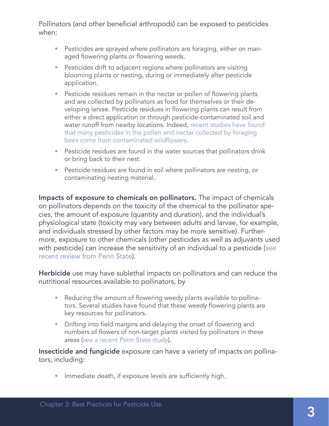Pollinators (and other beneficial arthropods) can be exposed to pesticides when:

- Pesticides are sprayed where pollinators are foraging, either on managed flowering plants or flowering weeds.
- Pesticides drift to adjacent regions where pollinators are visiting blooming plants or nesting, during or immediately after pesticide application.
- Pesticide residues remain in the nectar or pollen of flowering plants and are collected by pollinators as food for themselves or their developing larvae. Pesticide residues in flowering plants can result from either a direct application or through pesticide-contaminated soil and water runoff from nearby locations. Indeed, [recent studies have found](http://pubs.acs.org/doi/pdf/10.1021/acs.est.5b03459)  [that many pesticides in the pollen and nectar collected by foraging](http://pubs.acs.org/doi/pdf/10.1021/acs.est.5b03459)  [bees come from contaminated wildflowers](http://pubs.acs.org/doi/pdf/10.1021/acs.est.5b03459).
- Pesticide residues are found in the water sources that pollinators drink or bring back to their nest.
- Pesticide residues are found in soil where pollinators are nesting, or contaminating nesting material.

Impacts of exposure to chemicals on pollinators. The impact of chemicals on pollinators depends on the toxicity of the chemical to the pollinator species, the amount of exposure (quantity and duration), and the individual's physiological state (toxicity may vary between adults and larvae, for example, and individuals stressed by other factors may be more sensitive). Furthermore, exposure to other chemicals (other pesticides as well as adjuvants used with pesticide) can increase the sensitivity of an individual to a pesticide [\(see](http://www.sciencedirect.com/science/article/pii/S2214574515000851)  [recent review from Penn State\)](http://www.sciencedirect.com/science/article/pii/S2214574515000851).

Herbicide use may have sublethal impacts on pollinators and can reduce the nutritional resources available to pollinators, by

- Reducing the amount of flowering weedy plants available to pollinators. Several studies have found that these weedy flowering plants are key resources for pollinators.
- Drifting into field margins and delaying the onset of flowering and numbers of flowers of non-target plants visited by pollinators in these areas [\(see a recent Penn State study\)](http://onlinelibrary.wiley.com/doi/10.1002/etc.3169/abstract).

Insecticide and fungicide exposure can have a variety of impacts on pollinators, including:

• Immediate death, if exposure levels are sufficiently high.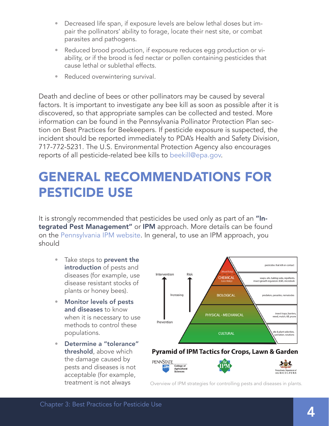- Decreased life span, if exposure levels are below lethal doses but impair the pollinators' ability to forage, locate their nest site, or combat parasites and pathogens.
- Reduced brood production, if exposure reduces egg production or viability, or if the brood is fed nectar or pollen containing pesticides that cause lethal or sublethal effects.
- Reduced overwintering survival.

Death and decline of bees or other pollinators may be caused by several factors. It is important to investigate any bee kill as soon as possible after it is discovered, so that appropriate samples can be collected and tested. More information can be found in the Pennsylvania Pollinator Protection Plan section on Best Practices for Beekeepers. If pesticide exposure is suspected, the incident should be reported immediately to PDA's Health and Safety Division, 717-772-5231. The U.S. Environmental Protection Agency also encourages reports of all pesticide-related bee kills to [beekill@epa.gov](mailto:beekill%40epa.gov?subject=Pesticide-related%20bee%20kill).

### GENERAL RECOMMENDATIONS FOR PESTICIDE USE

It is strongly recommended that pesticides be used only as part of an "Integrated Pest Management" or IPM approach. More details can be found on the [Pennsylvania IPM website.](http://extension.psu.edu/pests/ipm/about) In general, to use an IPM approach, you should

- Take steps to **prevent the** introduction of pests and diseases (for example, use disease resistant stocks of plants or honey bees).
- Monitor levels of pests and diseases to know when it is necessary to use methods to control these populations.
- Determine a "tolerance" threshold, above which the damage caused by pests and diseases is not acceptable (for example,



#### Pyramid of IPM Tactics for Crops, Lawn & Garden



treatment is not always overview of IPM strategies for controlling pests and diseases in plants.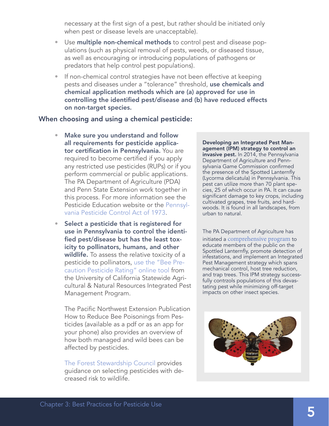necessary at the first sign of a pest, but rather should be initiated only when pest or disease levels are unacceptable).

- <span id="page-4-0"></span>• Use multiple non-chemical methods to control pest and disease populations (such as physical removal of pests, weeds, or diseased tissue, as well as encouraging or introducing populations of pathogens or predators that help control pest populations).
- If non-chemical control strategies have not been effective at keeping pests and diseases under a "tolerance" threshold, use chemicals and chemical application methods which are (a) approved for use in controlling the identified pest/disease and (b) have reduced effects on non-target species.

#### When choosing and using a chemical pesticide:

- Make sure you understand and follow all requirements for pesticide applicator certification in Pennsylvania. You are required to become certified if you apply any restricted use pesticides (RUPs) or if you perform commercial or public applications. The PA Department of Agriculture (PDA) and Penn State Extension work together in this process. For more information see the Pesticide Education website or the [Pennsyl](http://www.legis.state.pa.us/WU01/LI/LI/US/PDF/1974/0/0024..PDF)[vania Pesticide Control Act of 1973](http://www.legis.state.pa.us/WU01/LI/LI/US/PDF/1974/0/0024..PDF).
- Select a pesticide that is registered for use in Pennsylvania to control the identified pest/disease but has the least toxicity to pollinators, humans, and other wildlife. To assess the relative toxicity of a pesticide to pollinators, [use the "Bee Pre](http://www2.ipm.ucanr.edu/beeprecaution/)[caution Pesticide Rating" online tool](http://www2.ipm.ucanr.edu/beeprecaution/) from the University of California Statewide Agricultural & Natural Resources Integrated Pest Management Program.

The Pacific Northwest Extension Publication How to Reduce Bee Poisonings from Pesticides (available as a pdf or as an app for your phone) also provides an overview of how both managed and wild bees can be affected by pesticides.

[The Forest Stewardship Council](http://pesticides.fsc.org) provides guidance on selecting pesticides with decreased risk to wildlife.

Developing an Integrated Pest Management (IPM) strategy to control an invasive pest. In 2014, the Pennsylvania Department of Agriculture and Pennsylvania Game Commission confirmed the presence of the Spotted Lanternfly (Lycorma delicatula) in Pennsylvania. This pest can utilize more than 70 plant species, 25 of which occur in PA. It can cause significant damage to key crops, including cultivated grapes, tree fruits, and hardwoods. It is found in all landscapes, from urban to natural.

The PA Department of Agriculture has initiated a [comprehensive program](http://www.agriculture.pa.gov/Protect/PlantIndustry/spotted_lanternfly/Documents/Spotted%20Lanternfly%20%20Property%20Management.pdf) to educate members of the public on the Spottled Lanternfly, promote detection of infestations, and implement an Integrated Pest Management strategy which spans mechanical control, host tree reduction, and trap trees. This IPM strategy successfully contrzols populations of this devastating pest while minimizing off-target impacts on other insect species.

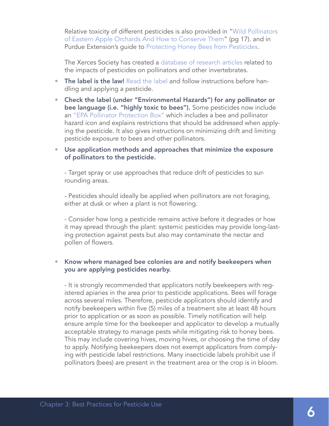Relative toxicity of different pesticides is also provided in ["Wild Pollinators](http://ento.psu.edu/publications/wild-pollinators-in-eastern-apple-orchards-and-how-to-conserve-them)  [of Eastern Apple Orchards And How to Conserve Them](http://ento.psu.edu/publications/wild-pollinators-in-eastern-apple-orchards-and-how-to-conserve-them)" (pg 17). and in Purdue Extension's guide to [Protecting Honey Bees from Pesticides.](https://extension.entm.purdue.edu/publications/E-53.pdf)

The Xerces Society has created a [database of research articles](http://pesticideimpacts.org) related to the impacts of pesticides on pollinators and other invertebrates.

- The label is the law! [Read the label](https://www.unce.unr.edu/publications/files/nr/2011/fs1138.pdf) and follow instructions before handling and applying a pesticide.
- Check the label (under "Environmental Hazards") for any pollinator or bee language (i.e. "highly toxic to bees"). Some pesticides now include an ["EPA Pollinator Protection Box"](https://www.epa.gov/sites/production/files/2013-11/documents/bee-label-info-graphic.pdf) which includes a bee and pollinator hazard icon and explains restrictions that should be addressed when applying the pesticide. It also gives instructions on minimizing drift and limiting pesticide exposure to bees and other pollinators.

#### • Use application methods and approaches that minimize the exposure of pollinators to the pesticide.

- Target spray or use approaches that reduce drift of pesticides to surrounding areas.

- Pesticides should ideally be applied when pollinators are not foraging, either at dusk or when a plant is not flowering.

- Consider how long a pesticide remains active before it degrades or how it may spread through the plant: systemic pesticides may provide long-lasting protection against pests but also may contaminate the nectar and pollen of flowers.

#### • Know where managed bee colonies are and notify beekeepers when you are applying pesticides nearby.

- It is strongly recommended that applicators notify beekeepers with registered apiaries in the area prior to pesticide applications. Bees will forage across several miles. Therefore, pesticide applicators should identify and notify beekeepers within five (5) miles of a treatment site at least 48 hours prior to application or as soon as possible. Timely notification will help ensure ample time for the beekeeper and applicator to develop a mutually acceptable strategy to manage pests while mitigating risk to honey bees. This may include covering hives, moving hives, or choosing the time of day to apply. Notifying beekeepers does not exempt applicators from complying with pesticide label restrictions. Many insecticide labels prohibit use if pollinators (bees) are present in the treatment area or the crop is in bloom.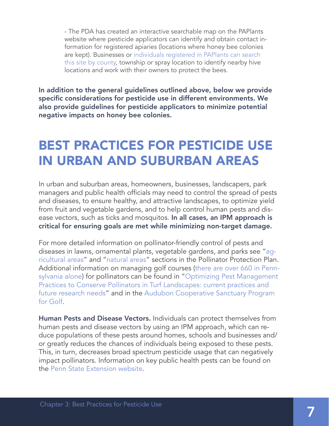- The PDA has created an interactive searchable map on the PAPlants website where pesticide applicators can identify and obtain contact information for registered apiaries (locations where honey bee colonies are kept). Businesses or [individuals registered in PAPlants can search](https://www.paplants.pa.gov/Index.aspx)  [this site by county](https://www.paplants.pa.gov/Index.aspx), township or spray location to identify nearby hive locations and work with their owners to protect the bees.

In addition to the general guidelines outlined above, below we provide specific considerations for pesticide use in different environments. We also provide guidelines for pesticide applicators to minimize potential negative impacts on honey bee colonies.

### BEST PRACTICES FOR PESTICIDE USE IN URBAN AND SUBURBAN AREAS

In urban and suburban areas, homeowners, businesses, landscapers, park managers and public health officials may need to control the spread of pests and diseases, to ensure healthy, and attractive landscapes, to optimize yield from fruit and vegetable gardens, and to help control human pests and disease vectors, such as ticks and mosquitos. In all cases, an IPM approach is critical for ensuring goals are met while minimizing non-target damage.

For more detailed information on pollinator-friendly control of pests and diseases in lawns, ornamental plants, vegetable gardens, and parks see "[ag](#page-9-0)[ricultural areas"](#page-9-0) and ["natural areas](#page-11-0)" sections in the Pollinator Protection Plan. Additional information on managing golf courses [\(there are over 660 in Penn](http://www.golf2020.com/media/60121/pa_golf_full_report_sri_final_2015.pdf)[sylvania alone\)](http://www.golf2020.com/media/60121/pa_golf_full_report_sri_final_2015.pdf) for pollinators can be found in "[Optimizing Pest Management](https://academic.oup.com/jipm/article/doi/10.1093/jipm/pmx012/3934663/Optimizing-Pest-Management-Practices-to-Conserve)  [Practices to Conserve Pollinators in Turf Landscapes: current practices and](https://academic.oup.com/jipm/article/doi/10.1093/jipm/pmx012/3934663/Optimizing-Pest-Management-Practices-to-Conserve)  [future research needs"](https://academic.oup.com/jipm/article/doi/10.1093/jipm/pmx012/3934663/Optimizing-Pest-Management-Practices-to-Conserve) and in the [Audubon Cooperative Sanctuary Program](http://www.auduboninternational.org/acspgolf)  [for Golf](http://www.auduboninternational.org/acspgolf).

Human Pests and Disease Vectors. Individuals can protect themselves from human pests and disease vectors by using an IPM approach, which can reduce populations of these pests around homes, schools and businesses and/ or greatly reduces the chances of individuals being exposed to these pests. This, in turn, decreases broad spectrum pesticide usage that can negatively impact pollinators. Information on key public health pests can be found on the [Penn State Extension website](http://extension.psu.edu/pests/ipm/health).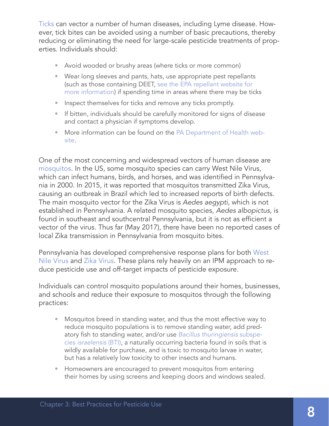[Ticks](http://ento.psu.edu/extension/factsheets/ticks) can vector a number of human diseases, including Lyme disease. However, tick bites can be avoided using a number of basic precautions, thereby reducing or eliminating the need for large-scale pesticide treatments of properties. Individuals should:

- Avoid wooded or brushy areas (where ticks or more common)
- Wear long sleeves and pants, hats, use appropriate pest repellants (such as those containing DEET, [see the EPA repellant website for](https://www.epa.gov/insect-repellents/find-repellent-right-you)  [more information](https://www.epa.gov/insect-repellents/find-repellent-right-you)) if spending time in areas where there may be ticks
- Inspect themselves for ticks and remove any ticks promptly.
- If bitten, individuals should be carefully monitored for signs of disease and contact a physician if symptoms develop.
- More information can be found on the [PA Department of Health web](http://www.health.pa.gov/My%20Health/Diseases%20and%20Conditions/I-L/Pages/Lyme-Disease-.aspx#.WW0EgRSDSaq)[site.](http://www.health.pa.gov/My%20Health/Diseases%20and%20Conditions/I-L/Pages/Lyme-Disease-.aspx#.WW0EgRSDSaq)

One of the most concerning and widespread vectors of human disease are mosquitos. In the US, some mosquito species can carry West Nile Virus, which can infect humans, birds, and horses, and was identified in Pennsylvania in 2000. In 2015, it was reported that mosquitos transmitted Zika Virus, causing an outbreak in Brazil which led to increased reports of birth defects. The main mosquito vector for the Zika Virus is *Aedes aegypti*, which is not established in Pennsylvania. A related mosquito species, *Aedes albopictus*, is found in southeast and southcentral Pennsylvania, but it is not as efficient a vector of the virus. Thus far (May 2017), there have been no reported cases of local Zika transmission in Pennsylvania from mosquito bites.

Pennsylvania has developed comprehensive response plans for both [West](http://www.westnile.state.pa.us/)  [Nile Virus](http://www.westnile.state.pa.us/) and [Zika Virus](http://www.health.pa.gov/My%20Health/Diseases%20and%20Conditions/U-Z/Zikavirus/Pages/ZikaVirusHomePage.aspx#.WW0FQhSDSap). These plans rely heavily on an IPM approach to reduce pesticide use and off-target impacts of pesticide exposure.

Individuals can control mosquito populations around their homes, businesses, and schools and reduce their exposure to mosquitos through the following practices:

- Mosquitos breed in standing water, and thus the most effective way to reduce mosquito populations is to remove standing water, add predatory fish to standing water, and/or use *[Bacillus thuringiensis](https://www.epa.gov/mosquitocontrol/bti-mosquito-control)* subspecies *[israelensis](https://www.epa.gov/mosquitocontrol/bti-mosquito-control)* (BTI), a naturally occurring bacteria found in soils that is wildly available for purchase, and is toxic to mosquito larvae in water, but has a relatively low toxicity to other insects and humans.
- Homeowners are encouraged to prevent mosquitos from entering their homes by using screens and keeping doors and windows sealed.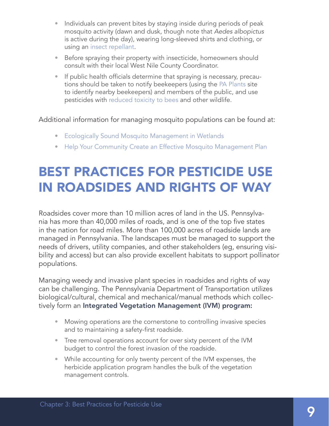- Individuals can prevent bites by staying inside during periods of peak mosquito activity (dawn and dusk, though note that *Aedes albopictus* is active during the day), wearing long-sleeved shirts and clothing, or using an [insect repellant.](https://www.epa.gov/insect-repellents/find-repellent-right-you)
- Before spraying their property with insecticide, homeowners should consult with their local West Nile County Coordinator.
- If public health officials determine that spraying is necessary, precautions should be taken to notify beekeepers (using the [PA Plants](https://www.paplants.pa.gov/SecurityLogin.aspx) site to identify nearby beekeepers) and members of the public, and use pesticides with [reduced toxicity to bees](https://www.beyondpesticides.org/assets/media/documents/Summer2016MosquitosAndPollinators.pdf) and other wildlife.

Additional information for managing mosquito populations can be found at:

- [Ecologically Sound Mosquito Management in Wetlands](http://xerces.org/pesticides/mosquito-management-wetlands/)
- [Help Your Community Create an Effective Mosquito Management Plan](http://www.xerces.org/wp-content/uploads/2014/04/Effective_Mosquito_Management_Guide-web.pdf)

# BEST PRACTICES FOR PESTICIDE USE IN ROADSIDES AND RIGHTS OF WAY

Roadsides cover more than 10 million acres of land in the US. Pennsylvania has more than 40,000 miles of roads, and is one of the top five states in the nation for road miles. More than 100,000 acres of roadside lands are managed in Pennsylvania. The landscapes must be managed to support the needs of drivers, utility companies, and other stakeholders (eg, ensuring visibility and access) but can also provide excellent habitats to support pollinator populations.

Managing weedy and invasive plant species in roadsides and rights of way can be challenging. The Pennsylvania Department of Transportation utilizes biological/cultural, chemical and mechanical/manual methods which collectively form an Integrated Vegetation Management (IVM) program:

- Mowing operations are the cornerstone to controlling invasive species and to maintaining a safety-first roadside.
- Tree removal operations account for over sixty percent of the IVM budget to control the forest invasion of the roadside.
- While accounting for only twenty percent of the IVM expenses, the herbicide application program handles the bulk of the vegetation management controls.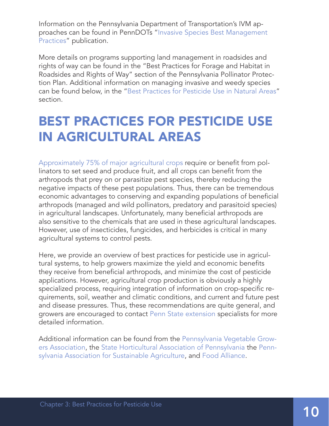<span id="page-9-0"></span>Information on the Pennsylvania Department of Transportation's IVM approaches can be found in PennDOTs ["Invasive Species Best Management](http://www.dot.state.pa.us/public/pubsforms/Publications/PUB%20756.pdf)  [Practices](http://www.dot.state.pa.us/public/pubsforms/Publications/PUB%20756.pdf)" publication.

More details on programs supporting land management in roadsides and rights of way can be found in the "Best Practices for Forage and Habitat in Roadsides and Rights of Way" section of the Pennsylvania Pollinator Protection Plan. Additional information on managing invasive and weedy species can be found below, in the ["Best Practices for Pesticide Use in Natural Areas](#page-11-0)" section.

# BEST PRACTICES FOR PESTICIDE USE IN AGRICULTURAL AREAS

[Approximately 75% of major agricultural crops](https://www.ncbi.nlm.nih.gov/pmc/articles/PMC1702377/) require or benefit from pollinators to set seed and produce fruit, and all crops can benefit from the arthropods that prey on or parasitize pest species, thereby reducing the negative impacts of these pest populations. Thus, there can be tremendous economic advantages to conserving and expanding populations of beneficial arthropods (managed and wild pollinators, predatory and parasitoid species) in agricultural landscapes. Unfortunately, many beneficial arthropods are also sensitive to the chemicals that are used in these agricultural landscapes. However, use of insecticides, fungicides, and herbicides is critical in many agricultural systems to control pests.

Here, we provide an overview of best practices for pesticide use in agricultural systems, to help growers maximize the yield and economic benefits they receive from beneficial arthropods, and minimize the cost of pesticide applications. However, agricultural crop production is obviously a highly specialized process, requiring integration of information on crop-specific requirements, soil, weather and climatic conditions, and current and future pest and disease pressures. Thus, these recommendations are quite general, and growers are encouraged to contact [Penn State extension](http://extension.psu.edu/) specialists for more detailed information.

Additional information can be found from the [Pennsylvania Vegetable Grow](https://www.pvga.org)[ers Association,](https://www.pvga.org) the [State Horticultural Association of Pennsylvania](http://shaponline.org) the [Penn](https://www.pasafarming.org)[sylvania Association for Sustainable Agriculture,](https://www.pasafarming.org) and [Food Alliance](https://foodalliance.org).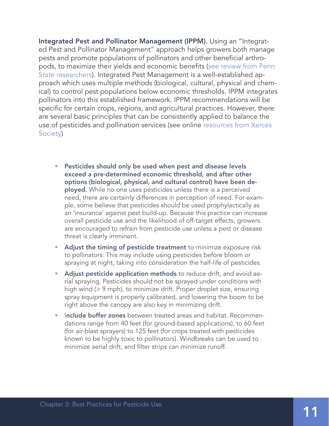Integrated Pest and Pollinator Management (IPPM). Using an "Integrated Pest and Pollinator Management" approach helps growers both manage pests and promote populations of pollinators and other beneficial arthropods, to maximize their yields and economic benefits ([see review from Penn](http://ento.psu.edu/pollinators/publications/integrated-pest-and-pollinator-management-2014-adding-a-new-dimension-to-an-accepted-paradigm)  [State researchers\)](http://ento.psu.edu/pollinators/publications/integrated-pest-and-pollinator-management-2014-adding-a-new-dimension-to-an-accepted-paradigm). Integrated Pest Management is a well-established approach which uses multiple methods (biological, cultural, physical and chemical) to control pest populations below economic thresholds. IPPM integrates pollinators into this established framework. IPPM recommendations will be specific for certain crops, regions, and agricultural practices. However, there are several basic principles that can be consistently applied to balance the use of pesticides and pollination services (see online [resources from Xerces](https://xerces.org/pollinator-conservation/agriculture/managing-pesticides-to-protect-bees/)  [Society](https://xerces.org/pollinator-conservation/agriculture/managing-pesticides-to-protect-bees/))

- Pesticides should only be used when pest and disease levels exceed a pre-determined economic threshold, and after other options (biological, physical, and cultural control) have been deployed. While no one uses pesticides unless there is a perceived need, there are certainly differences in perception of need. For example, some believe that pesticides should be used prophylactically as an 'insurance' against pest build-up. Because this practice can increase overall pesticide use and the likelihood of off-target effects, growers are encouraged to refrain from pesticide use unless a pest or disease threat is clearly imminent.
- Adjust the timing of pesticide treatment to minimize exposure risk to pollinators. This may include using pesticides before bloom or spraying at night, taking into consideration the half-life of pesticides.
- Adjust pesticide application methods to reduce drift, and avoid aerial spraying. Pesticides should not be sprayed under conditions with high wind (> 9 mph), to minimize drift. Proper droplet size, ensuring spray equipment is properly calibrated, and lowering the boom to be right above the canopy are also key in minimizing drift.
- Include buffer zones between treated areas and habitat. Recommendations range from 40 feet (for ground-based applications), to 60 feet (for air-blast sprayers) to 125 feet (for crops treated with pesticides known to be highly toxic to pollinators). Windbreaks can be used to minimize aerial drift, and filter strips can minimize runoff.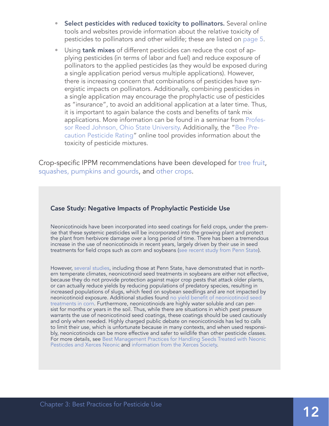- <span id="page-11-0"></span>Select pesticides with reduced toxicity to pollinators. Several online tools and websites provide information about the relative toxicity of pesticides to pollinators and other wildlife; these are listed on [page 5](#page-4-0).
- Using **tank mixes** of different pesticides can reduce the cost of applying pesticides (in terms of labor and fuel) and reduce exposure of pollinators to the applied pesticides (as they would be exposed during a single application period versus multiple applications). However, there is increasing concern that combinations of pesticides have synergistic impacts on pollinators. Additionally, combining pesticides in a single application may encourage the prophylactic use of pesticides as "insurance", to avoid an additional application at a later time. Thus, it is important to again balance the costs and benefits of tank mix applications. More information can be found in a seminar from [Profes](http://u.osu.edu/beelab/effect-of-tank-mix-pesticide-combinations-on-bees/)[sor Reed Johnson, Ohio State University](http://u.osu.edu/beelab/effect-of-tank-mix-pesticide-combinations-on-bees/). Additionally, the "[Bee Pre](http://www2.ipm.ucanr.edu/beeprecaution/)[caution Pesticide Rating](http://www2.ipm.ucanr.edu/beeprecaution/)" online tool provides information about the toxicity of pesticide mixtures.

Crop-specific IPPM recommendations have been developed for [tree fruit](http://ento.psu.edu/publications/wild-pollinators-of-eastern-apple-orchards), [squashes, pumpkins and gourds](http://ento.psu.edu/publications/integrated-crop-pollination-for-squashes-pumpkins-and-gourds), and [other crops.](http://icpbees.org/)

#### Case Study: Negative Impacts of Prophylactic Pesticide Use

Neonicotinoids have been incorporated into seed coatings for field crops, under the premise that these systemic pesticides will be incorporated into the growing plant and protect the plant from herbivore damage over a long period of time. There has been a tremendous increase in the use of neonicotinoids in recent years, largely driven by their use in seed treatments for field crops such as corn and soybeans ([see recent study from Penn State\)](http://pubs.acs.org/doi/abs/10.1021/es506141g).

However, [several studies,](http://ento.psu.edu/extension/field-crops/fact-sheet-Effectiveness-of-Neonicotinoid-Seed-Treatments-in-Soybean) including those at Penn State, have demonstrated that in northern temperate climates, neonicotinoid seed treatments in soybeans are either not effective, because they do not provide protection against major crop pests that attack older plants, or can actually reduce yields by reducing populations of predatory species, resulting in increased populations of slugs, which feed on soybean seedlings and are not impacted by neonicotinoid exposure. Additional studies found [no yield benefit of neonicotinoid seed](http://onlinelibrary.wiley.com/doi/10.1111/1365-2664.12924/abstract)  [treatments in corn](http://onlinelibrary.wiley.com/doi/10.1111/1365-2664.12924/abstract). Furthermore, neonicotinoids are highly water soluble and can persist for months or years in the soil. Thus, while there are situations in which pest pressure warrants the use of neonicotinoid seed coatings, these coatings should be used cautiously and only when needed. Highly charged public debate on neonicotinoids has led to calls to limit their use, which is unfortunate because in many contexts, and when used responsibly, neonicotinoids can be more effective and safer to wildlife than other pesticide classes. For more details, see [Best Management Practices for Handling Seeds Treated with Neonic](http://ento.psu.edu/publications/best-management-practices-for-handling-seeds-treated-with-neonicotinoid-insecticides/view)  [Pesticdes and Xerces Neonic](http://ento.psu.edu/publications/best-management-practices-for-handling-seeds-treated-with-neonicotinoid-insecticides/view) and [information from the Xerces Society.](https://xerces.org/neonicotinoids-and-bees/)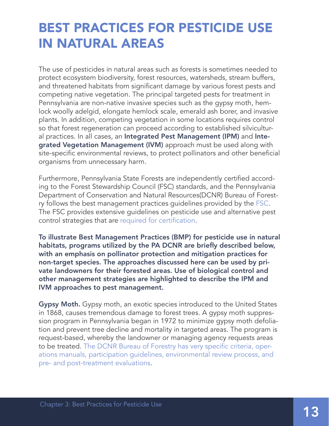# BEST PRACTICES FOR PESTICIDE USE IN NATURAL AREAS

The use of pesticides in natural areas such as forests is sometimes needed to protect ecosystem biodiversity, forest resources, watersheds, stream buffers, and threatened habitats from significant damage by various forest pests and competing native vegetation. The principal targeted pests for treatment in Pennsylvania are non-native invasive species such as the gypsy moth, hemlock woolly adelgid, elongate hemlock scale, emerald ash borer, and invasive plants. In addition, competing vegetation in some locations requires control so that forest regeneration can proceed according to established silvicultural practices. In all cases, an Integrated Pest Management (IPM) and Integrated Vegetation Management (IVM) approach must be used along with site-specific environmental reviews, to protect pollinators and other beneficial organisms from unnecessary harm.

Furthermore, Pennsylvania State Forests are independently certified according to the Forest Stewardship Council (FSC) standards, and the Pennsylvania Department of Conservation and Natural Resources(DCNR) Bureau of Forestry follows the best management practices guidelines provided by the [FSC](https://us.fsc.org/en-us/certification). The FSC provides extensive guidelines on pesticide use and alternative pest control strategies that are [required for certification](http://pesticides.fsc.org).

To illustrate Best Management Practices (BMP) for pesticide use in natural habitats, programs utilized by the PA DCNR are briefly described below, with an emphasis on pollinator protection and mitigation practices for non-target species. The approaches discussed here can be used by private landowners for their forested areas. Use of biological control and other management strategies are highlighted to describe the IPM and IVM approaches to pest management.

**Gypsy Moth.** Gypsy moth, an exotic species introduced to the United States in 1868, causes tremendous damage to forest trees. A gypsy moth suppression program in Pennsylvania began in 1972 to minimize gypsy moth defoliation and prevent tree decline and mortality in targeted areas. The program is request-based, whereby the landowner or managing agency requests areas to be treated. [The DCNR Bureau of Forestry has very specific criteria, oper](http://www.dcnr.state.pa.us/forestry/insectsdisease/gypsymoth/index.htm)[ations manuals, participation guidelines, environmental review process, and](http://www.dcnr.state.pa.us/forestry/insectsdisease/gypsymoth/index.htm)  [pre- and post-treatment evaluations.](http://www.dcnr.state.pa.us/forestry/insectsdisease/gypsymoth/index.htm)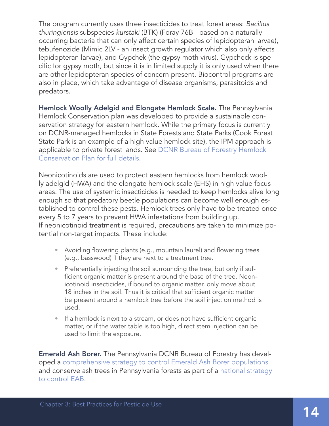The program currently uses three insecticides to treat forest areas: *Bacillus thuringiensis* subspecies *kurstaki* (BTK) (Foray 76B - based on a naturally occurring bacteria that can only affect certain species of lepidopteran larvae), tebufenozide (Mimic 2LV - an insect growth regulator which also only affects lepidopteran larvae), and Gypchek (the gypsy moth virus). Gypcheck is specific for gypsy moth, but since it is in limited supply it is only used when there are other lepidopteran species of concern present. Biocontrol programs are also in place, which take advantage of disease organisms, parasitoids and predators.

Hemlock Woolly Adelgid and Elongate Hemlock Scale. The Pennsylvania Hemlock Conservation plan was developed to provide a sustainable conservation strategy for eastern hemlock. While the primary focus is currently on DCNR-managed hemlocks in State Forests and State Parks (Cook Forest State Park is an example of a high value hemlock site), the IPM approach is applicable to private forest lands. See [DCNR Bureau of Forestry Hemlock](http://www.dcnr.pa.gov/Conservation/ForestsAndTrees/InsectsAndDiseases/HemlockWoollyAdelgid/Pages/default.aspx)  [Conservation Plan for full details.](http://www.dcnr.pa.gov/Conservation/ForestsAndTrees/InsectsAndDiseases/HemlockWoollyAdelgid/Pages/default.aspx)

Neonicotinoids are used to protect eastern hemlocks from hemlock woolly adelgid (HWA) and the elongate hemlock scale (EHS) in high value focus areas. The use of systemic insecticides is needed to keep hemlocks alive long enough so that predatory beetle populations can become well enough established to control these pests. Hemlock trees only have to be treated once every 5 to 7 years to prevent HWA infestations from building up. If neonicotinoid treatment is required, precautions are taken to minimize potential non-target impacts. These include:

- Avoiding flowering plants (e.g., mountain laurel) and flowering trees (e.g., basswood) if they are next to a treatment tree.
- Preferentially injecting the soil surrounding the tree, but only if sufficient organic matter is present around the base of the tree. Neonicotinoid insecticides, if bound to organic matter, only move about 18 inches in the soil. Thus it is critical that sufficient organic matter be present around a hemlock tree before the soil injection method is used.
- If a hemlock is next to a stream, or does not have sufficient organic matter, or if the water table is too high, direct stem injection can be used to limit the exposure.

**Emerald Ash Borer.** The Pennsylvania DCNR Bureau of Forestry has developed a [comprehensive strategy to control Emerald Ash Borer populations](http://www.dcnr.pa.gov/Conservation/ForestsAndTrees/InsectsAndDiseases/EmeraldAshBorer/Pages/default.aspx) and conserve ash trees in Pennsylvania forests as part of a [national strategy](http://www.emeraldashborer.info)  [to control EAB](http://www.emeraldashborer.info).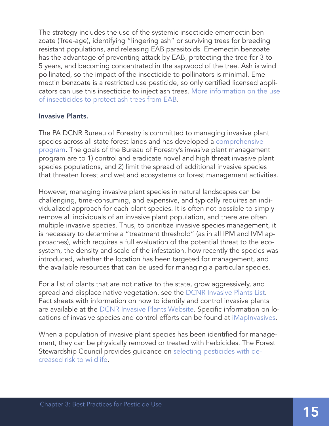The strategy includes the use of the systemic insecticide ememectin benzoate (Tree-age), identifying "lingering ash" or surviving trees for breeding resistant populations, and releasing EAB parasitoids. Ememectin benzoate has the advantage of preventing attack by EAB, protecting the tree for 3 to 5 years, and becoming concentrated in the sapwood of the tree. Ash is wind pollinated, so the impact of the insecticide to pollinators is minimal. Ememectin benzoate is a restricted use pesticide, so only certified licensed applicators can use this insecticide to inject ash trees. [More information on the use](http://www.emeraldashborer.info/documents/Multistate_EAB_Insecticide_Fact_Sheet.pdf)  [of insecticides to protect ash trees from EAB](http://www.emeraldashborer.info/documents/Multistate_EAB_Insecticide_Fact_Sheet.pdf).

#### Invasive Plants.

The PA DCNR Bureau of Forestry is committed to managing invasive plant species across all state forest lands and has developed a [comprehensive](http://www.dcnr.pa.gov/Conservation/WildPlants/InvasivePlants/Pages/default.aspx)  [program.](http://www.dcnr.pa.gov/Conservation/WildPlants/InvasivePlants/Pages/default.aspx) The goals of the Bureau of Forestry's invasive plant management program are to 1) control and eradicate novel and high threat invasive plant species populations, and 2) limit the spread of additional invasive species that threaten forest and wetland ecosystems or forest management activities.

However, managing invasive plant species in natural landscapes can be challenging, time-consuming, and expensive, and typically requires an individualized approach for each plant species. It is often not possible to simply remove all individuals of an invasive plant population, and there are often multiple invasive species. Thus, to prioritize invasive species management, it is necessary to determine a "treatment threshold" (as in all IPM and IVM approaches), which requires a full evaluation of the potential threat to the ecosystem, the density and scale of the infestation, how recently the species was introduced, whether the location has been targeted for management, and the available resources that can be used for managing a particular species.

For a list of plants that are not native to the state, grow aggressively, and spread and displace native vegetation, see the [DCNR Invasive Plants List](http://www.dcnr.state.pa.us/cs/groups/public/documents/document/dcnr_20026634.pdf). Fact sheets with information on how to identify and control invasive plants are available at the [DCNR Invasive Plants Website](http://www.dcnr.pa.gov/Conservation/WildPlants/InvasivePlants/Pages/default.aspx). Specific information on locations of invasive species and control efforts can be found at [iMapInvasives.](http://www.imapinvasives.org/why-imapinvasives)

When a population of invasive plant species has been identified for management, they can be physically removed or treated with herbicides. The Forest Stewardship Council provides guidance on [selecting pesticides with de](http://pesticides.fsc.org)[creased risk to wildlife](http://pesticides.fsc.org).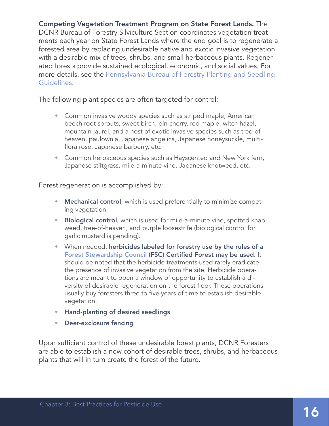Competing Vegetation Treatment Program on State Forest Lands. The DCNR Bureau of Forestry Silviculture Section coordinates vegetation treatments each year on State Forest Lands where the end goal is to regenerate a forested area by replacing undesirable native and exotic invasive vegetation with a desirable mix of trees, shrubs, and small herbaceous plants. Regenerated forests provide sustained ecological, economic, and social values. For more details, see the [Pennsylvania Bureau of Forestry Planting and Seedling](http://www.dcnr.state.pa.us/cs/groups/public/documents/document/dcnr_20031083.pdf)  [Guidelines.](http://www.dcnr.state.pa.us/cs/groups/public/documents/document/dcnr_20031083.pdf)

The following plant species are often targeted for control:

- Common invasive woody species such as striped maple, American beech root sprouts, sweet birch, pin cherry, red maple, witch hazel, mountain laurel, and a host of exotic invasive species such as tree-ofheaven, paulownia, Japanese angelica, Japanese honeysuckle, multiflora rose, Japanese barberry, etc.
- Common herbaceous species such as Hayscented and New York fern, Japanese stiltgrass, mile-a-minute vine, Japanese knotweed, etc.

Forest regeneration is accomplished by:

- Mechanical control, which is used preferentially to minimize competing vegetation.
- Biological control, which is used for mile-a-minute vine, spotted knapweed, tree-of-heaven, and purple loosestrife (biological control for garlic mustard is pending).
- When needed, herbicides labeled for forestry use by the rules of a [Forest Stewardship Council](http://pesticides.fsc.org) (FSC) Certified Forest may be used. It should be noted that the herbicide treatments used rarely eradicate the presence of invasive vegetation from the site. Herbicide operations are meant to open a window of opportunity to establish a diversity of desirable regeneration on the forest floor. These operations usually buy foresters three to five years of time to establish desirable vegetation.
- Hand-planting of desired seedlings
- Deer-exclosure fencing

Upon sufficient control of these undesirable forest plants, DCNR Foresters are able to establish a new cohort of desirable trees, shrubs, and herbaceous plants that will in turn create the forest of the future.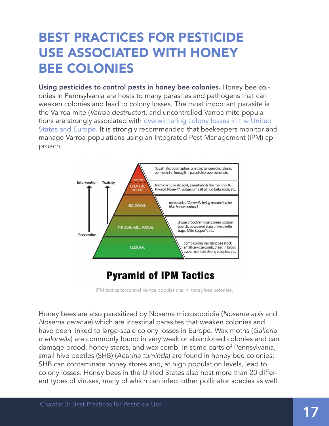# BEST PRACTICES FOR PESTICIDE USE ASSOCIATED WITH HONEY BEE COLONIES

Using pesticides to control pests in honey bee colonies. Honey bee colonies in Pennsylvania are hosts to many parasites and pathogens that can weaken colonies and lead to colony losses. The most important parasite is the Varroa mite (*Varroa destructor*), and uncontrolled Varroa mite populations are strongly associated with [overwintering colony losses in the United](http://ento.psu.edu/pollinators/publications/overwintering-honey-bees-biology-and-management)  [States and Europe](http://ento.psu.edu/pollinators/publications/overwintering-honey-bees-biology-and-management). It is strongly recommended that beekeepers monitor and manage Varroa populations using an Integrated Pest Management (IPM) approach.



### **Pyramid of IPM Tactics**

IPM tactics to control Varroa populations in honey bee colonies.

Honey bees are also parasitized by Nosema microsporidia (*Nosema apis* and *Nosema ceranae*) which are intestinal parasites that weaken colonies and have been linked to large-scale colony losses in Europe. Wax moths (*Galleria mellonella*) are commonly found in very weak or abandoned colonies and can damage brood, honey stores, and wax comb. In some parts of Pennsylvania, small hive beetles (SHB) (*Aethina tuminda*) are found in honey bee colonies; SHB can contaminate honey stores and, at high population levels, lead to colony losses. Honey bees in the United States also host more than 20 different types of viruses, many of which can infect other pollinator species as well.